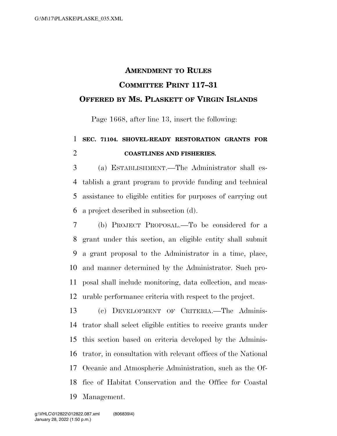## **AMENDMENT TO RULES COMMITTEE PRINT 117–31 OFFERED BY MS. PLASKETT OF VIRGIN ISLANDS**

Page 1668, after line 13, insert the following:

## **SEC. 71104. SHOVEL-READY RESTORATION GRANTS FOR COASTLINES AND FISHERIES.**

 (a) ESTABLISHMENT.—The Administrator shall es- tablish a grant program to provide funding and technical assistance to eligible entities for purposes of carrying out a project described in subsection (d).

 (b) PROJECT PROPOSAL.—To be considered for a grant under this section, an eligible entity shall submit a grant proposal to the Administrator in a time, place, and manner determined by the Administrator. Such pro- posal shall include monitoring, data collection, and meas-urable performance criteria with respect to the project.

 (c) DEVELOPMENT OF CRITERIA.—The Adminis- trator shall select eligible entities to receive grants under this section based on criteria developed by the Adminis- trator, in consultation with relevant offices of the National Oceanic and Atmospheric Administration, such as the Of- fice of Habitat Conservation and the Office for Coastal Management.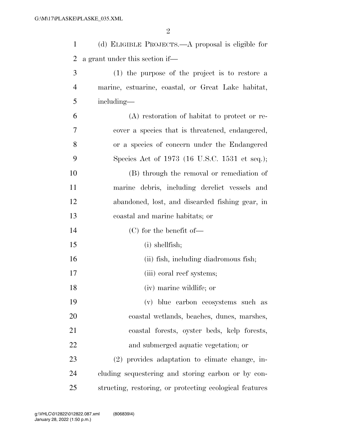| $\mathbf{1}$   | (d) ELIGIBLE PROJECTS.—A proposal is eligible for       |
|----------------|---------------------------------------------------------|
| $\overline{2}$ | a grant under this section if—                          |
| 3              | (1) the purpose of the project is to restore a          |
| $\overline{4}$ | marine, estuarine, coastal, or Great Lake habitat,      |
| 5              | including—                                              |
| 6              | (A) restoration of habitat to protect or re-            |
| 7              | cover a species that is threatened, endangered,         |
| 8              | or a species of concern under the Endangered            |
| 9              | Species Act of 1973 (16 U.S.C. 1531 et seq.);           |
| 10             | (B) through the removal or remediation of               |
| 11             | marine debris, including derelict vessels and           |
| 12             | abandoned, lost, and discarded fishing gear, in         |
| 13             | coastal and marine habitats; or                         |
| 14             | $(C)$ for the benefit of-                               |
| 15             | $(i)$ shellfish;                                        |
| 16             | (ii) fish, including diadromous fish;                   |
| 17             | (iii) coral reef systems;                               |
| 18             | (iv) marine wildlife; or                                |
| 19             | (v) blue carbon ecosystems such as                      |
| 20             | coastal wetlands, beaches, dunes, marshes,              |
| 21             | coastal forests, oyster beds, kelp forests,             |
| 22             | and submerged aquatic vegetation; or                    |
| 23             | (2) provides adaptation to climate change, in-          |
| 24             | cluding sequestering and storing carbon or by con-      |
| 25             | structing, restoring, or protecting ecological features |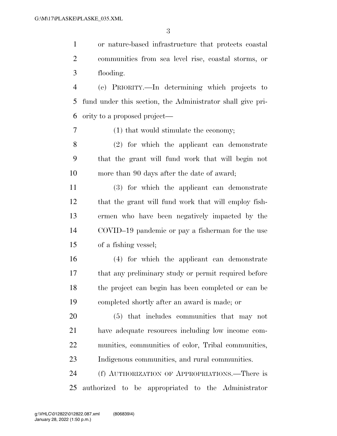or nature-based infrastructure that protects coastal communities from sea level rise, coastal storms, or flooding.

 (e) PRIORITY.—In determining which projects to fund under this section, the Administrator shall give pri-ority to a proposed project—

(1) that would stimulate the economy;

 (2) for which the applicant can demonstrate that the grant will fund work that will begin not more than 90 days after the date of award;

 (3) for which the applicant can demonstrate that the grant will fund work that will employ fish- ermen who have been negatively impacted by the COVID–19 pandemic or pay a fisherman for the use of a fishing vessel;

 (4) for which the applicant can demonstrate that any preliminary study or permit required before the project can begin has been completed or can be completed shortly after an award is made; or

 (5) that includes communities that may not have adequate resources including low income com- munities, communities of color, Tribal communities, Indigenous communities, and rural communities.

 (f) AUTHORIZATION OF APPROPRIATIONS.—There is authorized to be appropriated to the Administrator